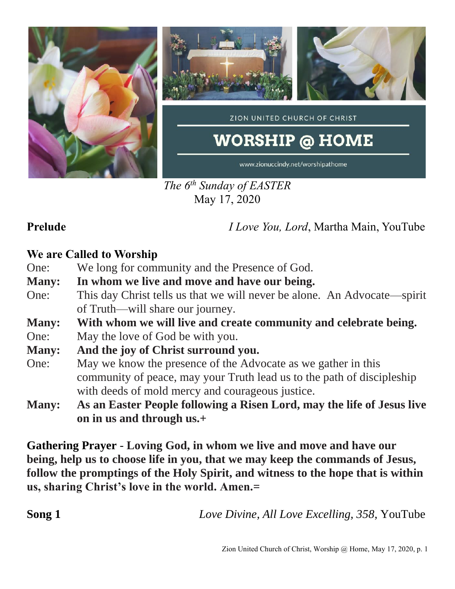

*The 6 th Sunday of EASTER* May 17, 2020

**Prelude** *I Love You, Lord*, Martha Main, YouTube

### **We are Called to Worship**

- One: We long for community and the Presence of God.
- **Many: In whom we live and move and have our being.**
- One: This day Christ tells us that we will never be alone. An Advocate—spirit of Truth—will share our journey.
- **Many: With whom we will live and create community and celebrate being.**
- One: May the love of God be with you.
- **Many: And the joy of Christ surround you.**
- One: May we know the presence of the Advocate as we gather in this community of peace, may your Truth lead us to the path of discipleship with deeds of mold mercy and courageous justice.
- **Many: As an Easter People following a Risen Lord, may the life of Jesus live on in us and through us.+**

**Gathering Prayer** - **Loving God, in whom we live and move and have our being, help us to choose life in you, that we may keep the commands of Jesus, follow the promptings of the Holy Spirit, and witness to the hope that is within us, sharing Christ's love in the world. Amen.=**

| Song 1 | Love Divine, All Love Excelling, 358, YouTube |
|--------|-----------------------------------------------|
|--------|-----------------------------------------------|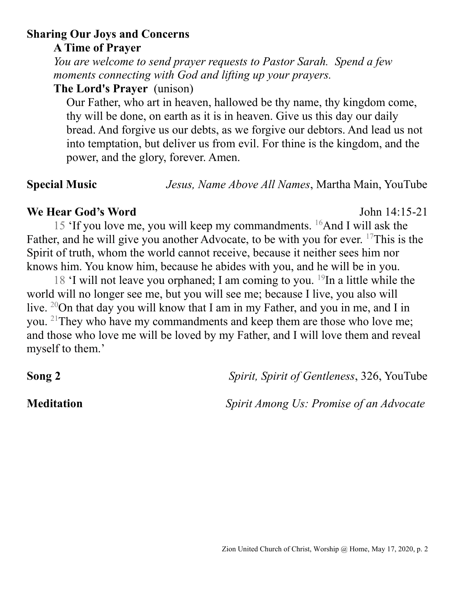# **Sharing Our Joys and Concerns**

**A Time of Prayer**

*You are welcome to send prayer requests to Pastor Sarah. Spend a few moments connecting with God and lifting up your prayers.*

**The Lord's Prayer** (unison)

Our Father, who art in heaven, hallowed be thy name, thy kingdom come, thy will be done, on earth as it is in heaven. Give us this day our daily bread. And forgive us our debts, as we forgive our debtors. And lead us not into temptation, but deliver us from evil. For thine is the kingdom, and the power, and the glory, forever. Amen.

**Special Music** *Jesus, Name Above All Names*, Martha Main, YouTube

# **We Hear God's Word** John 14:15-21

15 'If you love me, you will keep my commandments.  $^{16}$ And I will ask the Father, and he will give you another Advocate, to be with you for ever. <sup>17</sup>This is the Spirit of truth, whom the world cannot receive, because it neither sees him nor knows him. You know him, because he abides with you, and he will be in you.

18 'I will not leave you orphaned; I am coming to you.  $^{19}$ In a little while the world will no longer see me, but you will see me; because I live, you also will live. <sup>20</sup>On that day you will know that I am in my Father, and you in me, and I in you. <sup>21</sup>They who have my commandments and keep them are those who love me; and those who love me will be loved by my Father, and I will love them and reveal myself to them.'

**Song 2** *Spirit, Spirit of Gentleness*, 326, YouTube

**Meditation** *Spirit Among Us: Promise of an Advocate*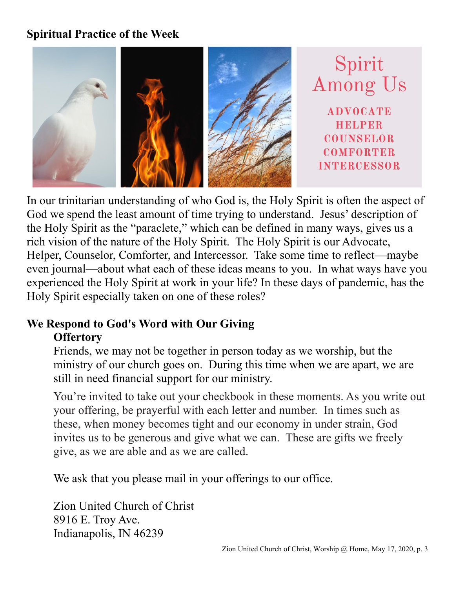## **Spiritual Practice of the Week**



In our trinitarian understanding of who God is, the Holy Spirit is often the aspect of God we spend the least amount of time trying to understand. Jesus' description of the Holy Spirit as the "paraclete," which can be defined in many ways, gives us a rich vision of the nature of the Holy Spirit. The Holy Spirit is our Advocate, Helper, Counselor, Comforter, and Intercessor. Take some time to reflect—maybe even journal—about what each of these ideas means to you. In what ways have you experienced the Holy Spirit at work in your life? In these days of pandemic, has the Holy Spirit especially taken on one of these roles?

### **We Respond to God's Word with Our Giving Offertory**

Friends, we may not be together in person today as we worship, but the ministry of our church goes on. During this time when we are apart, we are still in need financial support for our ministry.

You're invited to take out your checkbook in these moments. As you write out your offering, be prayerful with each letter and number. In times such as these, when money becomes tight and our economy in under strain, God invites us to be generous and give what we can. These are gifts we freely give, as we are able and as we are called.

We ask that you please mail in your offerings to our office.

Zion United Church of Christ 8916 E. Troy Ave. Indianapolis, IN 46239